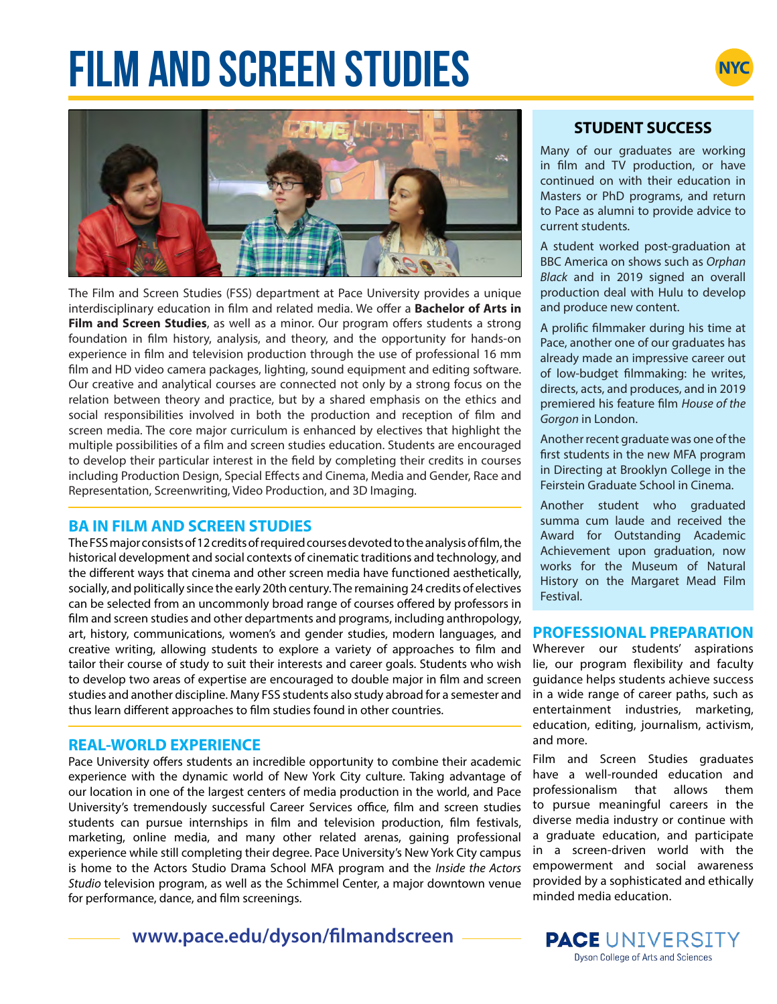# **FILM AND SCREEN STUDIES**





The Film and Screen Studies (FSS) department at Pace University provides a unique interdisciplinary education in film and related media. We offer a **Bachelor of Arts in Film and Screen Studies**, as well as a minor. Our program offers students a strong foundation in film history, analysis, and theory, and the opportunity for hands-on experience in film and television production through the use of professional 16 mm film and HD video camera packages, lighting, sound equipment and editing software. Our creative and analytical courses are connected not only by a strong focus on the relation between theory and practice, but by a shared emphasis on the ethics and social responsibilities involved in both the production and reception of film and screen media. The core major curriculum is enhanced by electives that highlight the multiple possibilities of a film and screen studies education. Students are encouraged to develop their particular interest in the field by completing their credits in courses including Production Design, Special Effects and Cinema, Media and Gender, Race and Representation, Screenwriting, Video Production, and 3D Imaging.

# **BA IN FILM AND SCREEN STUDIES**

The FSS major consists of 12 credits of required courses devoted to the analysis of film, the historical development and social contexts of cinematic traditions and technology, and the different ways that cinema and other screen media have functioned aesthetically, socially, and politically since the early 20th century. The remaining 24 credits of electives can be selected from an uncommonly broad range of courses offered by professors in film and screen studies and other departments and programs, including anthropology, art, history, communications, women's and gender studies, modern languages, and creative writing, allowing students to explore a variety of approaches to film and tailor their course of study to suit their interests and career goals. Students who wish to develop two areas of expertise are encouraged to double major in film and screen studies and another discipline. Many FSS students also study abroad for a semester and thus learn different approaches to film studies found in other countries.

# **REAL-WORLD EXPERIENCE**

Pace University offers students an incredible opportunity to combine their academic experience with the dynamic world of New York City culture. Taking advantage of our location in one of the largest centers of media production in the world, and Pace University's tremendously successful Career Services office, film and screen studies students can pursue internships in film and television production, film festivals, marketing, online media, and many other related arenas, gaining professional experience while still completing their degree. Pace University's New York City campus is home to the Actors Studio Drama School MFA program and the *Inside the Actors Studio* television program, as well as the Schimmel Center, a major downtown venue for performance, dance, and film screenings.

**www.pace.edu/dyson/filmandscreen**

# **STUDENT SUCCESS**

Many of our graduates are working in film and TV production, or have continued on with their education in Masters or PhD programs, and return to Pace as alumni to provide advice to current students.

A student worked post-graduation at BBC America on shows such as *Orphan Black* and in 2019 signed an overall production deal with Hulu to develop and produce new content.

A prolific filmmaker during his time at Pace, another one of our graduates has already made an impressive career out of low-budget filmmaking: he writes, directs, acts, and produces, and in 2019 premiered his feature film *House of the Gorgon* in London.

Another recent graduate was one of the first students in the new MFA program in Directing at Brooklyn College in the Feirstein Graduate School in Cinema.

Another student who graduated summa cum laude and received the Award for Outstanding Academic Achievement upon graduation, now works for the Museum of Natural History on the Margaret Mead Film Festival.

# **PROFESSIONAL PREPARATION**

Wherever our students' aspirations lie, our program flexibility and faculty guidance helps students achieve success in a wide range of career paths, such as entertainment industries, marketing, education, editing, journalism, activism, and more.

Film and Screen Studies graduates have a well-rounded education and professionalism that allows them to pursue meaningful careers in the diverse media industry or continue with a graduate education, and participate in a screen-driven world with the empowerment and social awareness provided by a sophisticated and ethically minded media education.